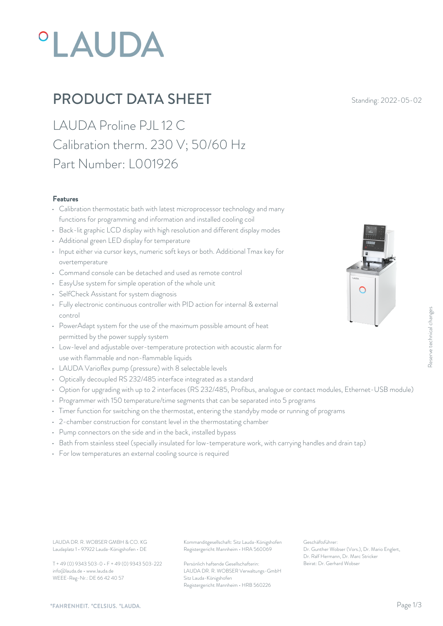# **°LAUDA**

# **PRODUCT DATA SHEET** Standing: 2022-05-02

LAUDA Proline PJL 12 C Calibration therm. 230 V; 50/60 Hz Part Number: L001926

#### Features

- Calibration thermostatic bath with latest microprocessor technology and many functions for programming and information and installed cooling coil
- Back-lit graphic LCD display with high resolution and different display modes
- Additional green LED display for temperature
- Input either via cursor keys, numeric soft keys or both. Additional Tmax key for overtemperature
- Command console can be detached and used as remote control
- EasyUse system for simple operation of the whole unit
- SelfCheck Assistant for system diagnosis
- Fully electronic continuous controller with PID action for internal & external control
- PowerAdapt system for the use of the maximum possible amount of heat permitted by the power supply system
- Low-level and adjustable over-temperature protection with acoustic alarm for use with flammable and non-flammable liquids
- LAUDA Varioflex pump (pressure) with 8 selectable levels
- Optically decoupled RS 232/485 interface integrated as a standard
- Option for upgrading with up to 2 interfaces (RS 232/485, Profibus, analogue or contact modules, Ethernet-USB module)
- Programmer with 150 temperature/time segments that can be separated into 5 programs
- Timer function for switching on the thermostat, entering the standyby mode or running of programs
- 2-chamber construction for constant level in the thermostating chamber
- Pump connectors on the side and in the back, installed bypass
- Bath from stainless steel (specially insulated for low-temperature work, with carrying handles and drain tap)
- For low temperatures an external cooling source is required

Laudaplatz 1 • 97922 Lauda-Königshofen • DE

T + 49 (0) 9343 503-0 • F + 49 (0) 9343 503-222 info@lauda.de • www.lauda.de WEEE-Reg-Nr.: DE 66 42 40 57

LAUDA DR. R. WOBSER GMBH & CO. KG Kommanditgesellschaft: Sitz Lauda-Königshofen Geschäftsführer: Registergericht Mannheim • HRA 560069

> Persönlich haftende Gesellschafterin: Beirat: Dr. Gerhard Wobse LAUDA DR. R. WOBSER Verwaltungs-GmbH Sitz Lauda-Königshofen Registergericht Mannheim • HRB 560226

Geschäftsführer: Dr. Gunther Wobser (Vors.), Dr. Mario Englert, Dr. Ralf Hermann, Dr. Marc Stricker Execution Controllers, Ethernet-USB module)<br>Being of programs<br>ams<br>handles and drain tap)<br>Geschäftsführer:<br>Dr. Gunther Wobser (Vors.), Dr. Mario Englert,<br>Dr. Raff Hermann, Dr. Marc Stricker<br>Beirat: Dr. Gerhard Wobser

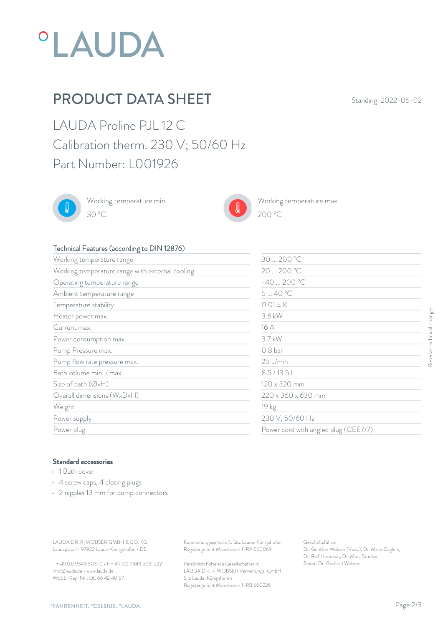

# **PRODUCT DATA SHEET** Standing: 2022-05-02

LAUDA Proline PJL 12 C Calibration therm. 230 V; 50/60 Hz Part Number: L001926



Working temperature min. 30 °C 200 °C



Working temperature max.  $200\text{ °C}$ 

## Technical Features (according to DIN 12876)

| Working temperature range                                                                                                 |                                                                                        | 30  200 °C                                                                                                |
|---------------------------------------------------------------------------------------------------------------------------|----------------------------------------------------------------------------------------|-----------------------------------------------------------------------------------------------------------|
| Working temperature range with external cooling                                                                           |                                                                                        | 20  200 °C                                                                                                |
| Operating temperature range                                                                                               |                                                                                        | $-40200 °C$                                                                                               |
| Ambient temperature range                                                                                                 |                                                                                        | 540 °C                                                                                                    |
| Temperature stability                                                                                                     |                                                                                        | $0.01 \pm K$                                                                                              |
| Heater power max.                                                                                                         |                                                                                        | 3.6 kW                                                                                                    |
| Current max.                                                                                                              |                                                                                        | 16 A                                                                                                      |
| Power consumption max.                                                                                                    |                                                                                        | 3.7 kW                                                                                                    |
| Pump Pressure max.                                                                                                        |                                                                                        | 0.8 <sub>bar</sub>                                                                                        |
| Pump flow rate pressure max.                                                                                              |                                                                                        | 25 L/min                                                                                                  |
| Bath volume min. / max.                                                                                                   |                                                                                        | 8.5/13.5L                                                                                                 |
| Size of bath (ØxH)                                                                                                        |                                                                                        | 120 x 320 mm                                                                                              |
| Overall dimensions (WxDxH)                                                                                                |                                                                                        | 220 x 360 x 630 mm                                                                                        |
| Weight                                                                                                                    |                                                                                        | 19 kg                                                                                                     |
| Power supply                                                                                                              |                                                                                        | 230 V; 50/60 Hz                                                                                           |
| Power plug                                                                                                                |                                                                                        | Power cord with angled plug (CEE7/7)                                                                      |
| <b>Standard accessories</b><br>• 1 Bath cover<br>• 4 screw caps, 4 closing plugs<br>• 2 nipples 13 mm for pump connectors |                                                                                        |                                                                                                           |
| LAUDA DR. R. WOBSER GMBH & CO. KG<br>Laudaplatz 1 · 97922 Lauda-Königshofen · DE                                          | Kommanditgesellschaft: Sitz Lauda-Königshofen<br>Registergericht Mannheim · HRA 560069 | Geschäftsführer:<br>Dr. Gunther Wobser (Vors.), Dr. Mario Englert,<br>Dr. Ralf Hermann, Dr. Marc Stricker |
| T + 49 (0) 9343 503-0 · F + 49 (0) 9343 503-222                                                                           | Persönlich haftende Gesellschafterin:                                                  | Beirat: Dr. Gerhard Wobser                                                                                |

## Standard accessories

- 1 Bath cover
- 4 screw caps, 4 closing plugs
- 2 nipples 13 mm for pump connectors

T + 49 (0) 9343 503-0 • F + 49 (0) 9343 503-222 info@lauda.de • www.lauda.de WEEE-Reg-Nr.: DE 66 42 40 57

> Persönlich haftende Gesellschafterin: Beirat: Dr. Gerhard Wobse LAUDA DR. R. WOBSER Verwaltungs-GmbH Sitz Lauda-Königshofen Registergericht Mannheim • HRB 560226